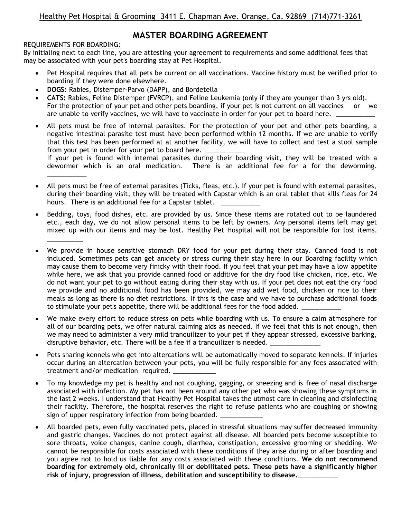# **MASTER BOARDING AGREEMENT**

## REQUIREMENTS FOR BOARDING:

By initialing next to each line, you are attesting your agreement to requirements and some additional fees that may be associated with your pet's boarding stay at Pet Hospital.

- Pet Hospital requires that all pets be current on all vaccinations. Vaccine history must be verified prior to boarding if they were done elsewhere.
- **DOGS:** Rabies, Distemper-Parvo (DAPP), and Bordetella
- **CATS:** Rabies, Feline Distemper (FVRCP), and Feline Leukemia (only if they are younger than 3 yrs old). For the protection of your pet and other pets boarding, if your pet is not current on all vaccines or we are unable to verify vaccines, we will have to vaccinate in order for your pet to board here.  $\Box$
- All pets must be free of internal parasites. For the protection of your pet and other pets boarding, a negative intestinal parasite test must have been performed within 12 months. If we are unable to verify that this test has been performed at at another facility, we will have to collect and test a stool sample from your pet in order for your pet to board here.

If your pet is found with internal parasites during their boarding visit, they will be treated with a dewormer which is an oral medication. There is an additional fee for a for the deworming. \_\_\_\_\_\_\_\_\_\_\_

- All pets must be free of external parasites (Ticks, fleas, etc.). If your pet is found with external parasites, during their boarding visit, they will be treated with Capstar which is an oral tablet that kills fleas for 24 hours. There is an additional fee for a Capstar tablet.
- Bedding, toys, food dishes, etc. are provided by us. Since these items are rotated out to be laundered etc., each day, we do not allow personal items to be left by owners. Any personal items left may get mixed up with our items and may be lost. Healthy Pet Hospital will not be responsible for lost items.  $\overline{\phantom{a}}$
- We provide in house sensitive stomach DRY food for your pet during their stay. Canned food is not included. Sometimes pets can get anxiety or stress during their stay here in our Boarding facility which may cause them to become very finicky with their food. If you feel that your pet may have a low appetite while here, we ask that you provide canned food or additive for the dry food like chicken, rice, etc. We do not want your pet to go without eating during their stay with us. If your pet does not eat the dry food we provide and no additional food has been provided, we may add wet food, chicken or rice to their meals as long as there is no diet restrictions. If this is the case and we have to purchase additional foods to stimulate your pet's appetite, there will be additional fees for the food added.
- We make every effort to reduce stress on pets while boarding with us. To ensure a calm atmosphere for all of our boarding pets, we offer natural calming aids as needed. If we feel that this is not enough, then we may need to administer a very mild tranquilizer to your pet if they appear stressed, excessive barking, disruptive behavior, etc. There will be a fee if a tranquilizer is needed.
- Pets sharing kennels who get into altercations will be automatically moved to separate kennels. If injuries occur during an altercation between your pets, you will be fully responsible for any fees associated with treatment and/or medication required.
- To my knowledge my pet is healthy and not coughing, gagging, or sneezing and is free of nasal discharge associated with infection. My pet has not been around any other pet who was showing these symptoms in the last 2 weeks. I understand that Healthy Pet Hospital takes the utmost care in cleaning and disinfecting their facility. Therefore, the hospital reserves the right to refuse patients who are coughing or showing sign of upper respiratory infection from being boarded.
- All boarded pets, even fully vaccinated pets, placed in stressful situations may suffer decreased immunity and gastric changes. Vaccines do not protect against all disease. All boarded pets become susceptible to sore throats, voice changes, canine cough, diarrhea, constipation, excessive grooming or shedding. We cannot be responsible for costs associated with these conditions if they arise during or after boarding and you agree not to hold us liable for any costs associated with these conditions. **We do not recommend boarding for extremely old, chronically ill or debilitated pets. These pets have a significantly higher risk of injury, progression of illness, debilitation and susceptibility to disease.**\_\_\_\_\_\_\_\_\_\_\_